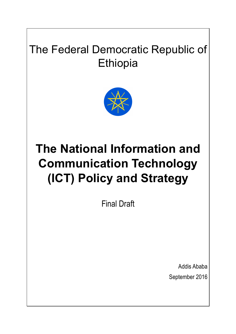# The Federal Democratic Republic of **Ethiopia**



# **The National Information and Communication Technology (ICT) Policy and Strategy**

Final Draft

Addis Ababa September 2016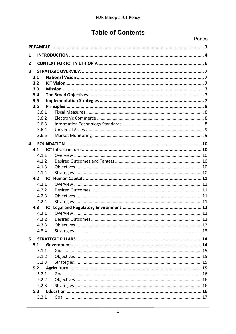# **Table of Contents**

|                         |                | Pages |
|-------------------------|----------------|-------|
|                         |                |       |
| 1                       |                |       |
| 2                       |                |       |
| $\overline{\mathbf{3}}$ |                |       |
|                         | 3.1            |       |
|                         | 3.2            |       |
|                         | 3.3            |       |
|                         | 3.4            |       |
|                         | 3.5            |       |
|                         | 3.6            |       |
|                         | 3.6.1          |       |
|                         | 3.6.2<br>3.6.3 |       |
|                         | 3.6.4          |       |
|                         | 3.6.5          |       |
|                         |                |       |
| 4                       |                |       |
|                         | 4.1<br>4.1.1   |       |
|                         | 4.1.2          |       |
|                         | 4.1.3          |       |
|                         | 4.1.4          |       |
|                         | 4.2            |       |
|                         | 4.2.1          |       |
|                         | 4.2.2          |       |
|                         | 4.2.3          |       |
|                         | 4.2.4          |       |
|                         | 4.3            |       |
|                         | 431            |       |
|                         | 4.3.2          |       |
|                         | 4.3.3          |       |
|                         | 4.3.4          |       |
| 5                       |                |       |
|                         | 5.1            |       |
|                         | 5.1.1          |       |
|                         | 5.1.2          |       |
|                         | 5.1.3          |       |
|                         | 5.2            |       |
|                         | 5.2.1<br>5.2.2 |       |
|                         | 5.2.3          |       |
|                         | 5.3            |       |
|                         | 5.3.1          |       |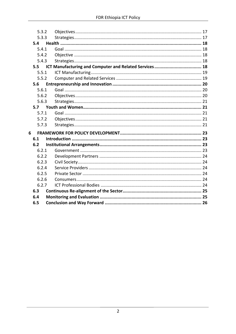| 5.3.2 |  |
|-------|--|
| 5.3.3 |  |
| 5.4   |  |
| 5.4.1 |  |
| 5.4.2 |  |
| 5.4.3 |  |
| 5.5   |  |
| 5.5.1 |  |
| 5.5.2 |  |
| 5.6   |  |
| 5.6.1 |  |
| 5.6.2 |  |
| 5.6.3 |  |
| 5.7   |  |
| 5.7.1 |  |
| 5.7.2 |  |
| 5.7.3 |  |
| 6     |  |
| 6.1   |  |
| 6.2   |  |
| 6.2.1 |  |
| 6.2.2 |  |
| 6.2.3 |  |
| 6.2.4 |  |
| 6.2.5 |  |
| 6.2.6 |  |
| 6.2.7 |  |
| 6.3   |  |
| 6.4   |  |
| 6.5   |  |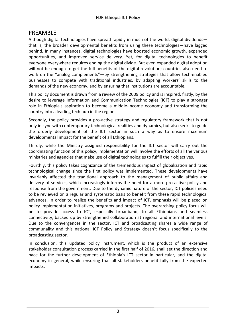# PREAMBLE

Although digital technologies have spread rapidly in much of the world, digital dividends that is, the broader developmental benefits from using these technologies—have lagged behind. In many instances, digital technologies have boosted economic growth, expanded opportunities, and improved service delivery. Yet, for digital technologies to benefit everyone everywhere requires ending the digital divide. But even expanded digital adoption will not be enough to get the full benefits of the digital revolution; countries also need to work on the "analog complements"—by strengthening strategies that allow tech-enabled businesses to compete with traditional industries, by adapting workers' skills to the demands of the new economy, and by ensuring that institutions are accountable.

This policy document is drawn from a review of the 2009 policy and is inspired, firstly, by the desire to leverage Information and Communication Technologies (ICT) to play a stronger role in Ethiopia's aspiration to become a middle-income economy and transforming the country into a leading tech hub in the region.

Secondly, the policy provides a pro-active strategy and regulatory framework that is not only in sync with contemporary technological realities and dynamics, but also seeks to guide the orderly development of the ICT sector in such a way as to ensure maximum developmental impact for the benefit of all Ethiopians.

Thirdly, while the Ministry assigned responsibility for the ICT sector will carry out the coordinating function of this policy, implementation will involve the efforts of all the various ministries and agencies that make use of digital technologies to fulfill their objectives.

Fourthly, this policy takes cognizance of the tremendous impact of globalization and rapid technological change since the first policy was implemented. These developments have invariably affected the traditional approach to the management of public affairs and delivery of services, which increasingly informs the need for a more pro-active policy and response from the government. Due to the dynamic nature of the sector, ICT policies need to be reviewed on a regular and systematic basis to benefit from these rapid technological advances. In order to realize the benefits and impact of ICT, emphasis will be placed on policy implementation initiatives, programs and projects. The overarching policy focus will be to provide access to ICT, especially broadband, to all Ethiopians and seamless connectivity, backed up by strengthened collaboration at regional and international levels. Due to the convergences in the sector, ICT and broadcasting shares a wide range of communality and this national ICT Policy and Strategy doesn't focus specifically to the broadcasting sector.

In conclusion, this updated policy instrument, which is the product of an extensive stakeholder consultation process carried in the first half of 2016, shall set the direction and pace for the further development of Ethiopia's ICT sector in particular, and the digital economy in general, while ensuring that all stakeholders benefit fully from the expected impacts.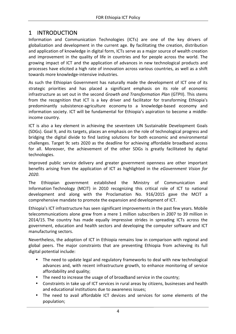# 1 INTRODUCTION

Information and Communication Technologies (ICTs) are one of the key drivers of globalization and development in the current age. By facilitating the creation, distribution and application of knowledge in digital form, ICTs serve as a major source of wealth creation and improvement in the quality of life in countries and for people across the world. The growing impact of ICT and the application of advances in new technological products and processes have elicited a high rate of innovation across various countries, as well as a shift towards more knowledge-intensive industries.

As such the Ethiopian Government has naturally made the development of ICT one of its strategic priorities and has placed a significant emphasis on its role of economic infrastructure as set out in the second *Growth and Transformation Plan* (GTPII). This stems from the recognition that ICT is a key driver and facilitator for transforming Ethiopia's predominantly subsistence-agriculture economy to a knowledge-based economy and information society. ICT will be fundamental for Ethiopia's aspiration to become a middleincome country.

ICT is also a key element in achieving the seventeen UN Sustainable Development Goals (SDGs). Goal 9, and its targets, places an emphasis on the role of technological progress and bridging the digital divide to find lasting solutions for both economic and environmental challenges. Target 9c sets 2020 as the deadline for achieving affordable broadband access for all. Moreover, the achievement of the other SDGs is greatly facilitated by digital technologies. 

Improved public service delivery and greater government openness are other important benefits arising from the application of ICT as highlighted in the *eGovernment Vision for 2020*.

The Ethiopian government established the Ministry of Communication and Information Technology (MCIT) in 2010 recognizing this critical role of ICT to national development and along with the Proclamation No. 916/2015 gave the MCIT a comprehensive mandate to promote the expansion and development of ICT.

Ethiopia's ICT infrastructure has seen significant improvements in the past few years. Mobile telecommunications alone grew from a mere 1 million subscribers in 2007 to 39 million in 2014/15. The country has made equally impressive strides in spreading ICTs across the government, education and health sectors and developing the computer software and ICT manufacturing sectors.

Nevertheless, the adoption of ICT in Ethiopia remains low in comparison with regional and global peers. The major constraints that are preventing Ethiopia from achieving its full digital potential include:

- The need to update legal and regulatory frameworks to deal with new technological advances and, with recent infrastructure growth, to enhance monitoring of service affordability and quality;
- The need to increase the usage of of broadband service in the country;
- Constraints in take up of ICT services in rural areas by citizens, businesses and health and educational institutions due to awareness issues:
- The need to avail affordable ICT devices and services for some elements of the population;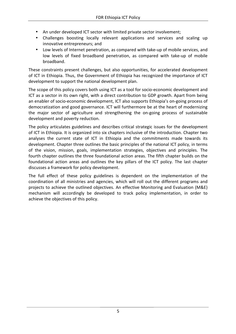- An under developed ICT sector with limited private sector involvement;
- Challenges boosting locally relevant applications and services and scaling up innovative entrepreneurs; and
- Low levels of Internet penetration, as compared with take-up of mobile services, and low levels of fixed broadband penetration, as compared with take-up of mobile broadband.

These constraints present challenges, but also opportunities, for accelerated development of ICT in Ethiopia. Thus, the Government of Ethiopia has recognized the importance of ICT development to support the national development plan.

The scope of this policy covers both using ICT as a tool for socio-economic development and ICT as a sector in its own right, with a direct contribution to GDP growth. Apart from being an enabler of socio-economic development, ICT also supports Ethiopia's on-going process of democratization and good governance. ICT will furthermore be at the heart of modernizing the major sector of agriculture and strengthening the on-going process of sustainable development and poverty reduction.

The policy articulates guidelines and describes critical strategic issues for the development of ICT in Ethiopia. It is organized into six chapters inclusive of the introduction. Chapter two analyses the current state of ICT in Ethiopia and the commitments made towards its development. Chapter three outlines the basic principles of the national ICT policy, in terms of the vision, mission, goals, implementation strategies, objectives and principles. The fourth chapter outlines the three foundational action areas. The fifth chapter builds on the foundational action areas and outlines the key pillars of the ICT policy. The last chapter discusses a framework for policy development.

The full effect of these policy guidelines is dependent on the implementation of the coordination of all ministries and agencies, which will roll out the different programs and projects to achieve the outlined objectives. An effective Monitoring and Evaluation (M&E) mechanism will accordingly be developed to track policy implementation, in order to achieve the objectives of this policy.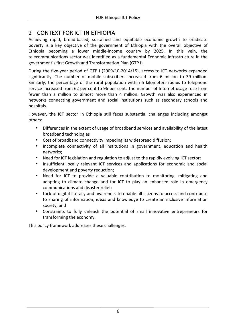# 2 CONTEXT FOR ICT IN ETHIOPIA

Achieving rapid, broad-based, sustained and equitable economic growth to eradicate poverty is a key objective of the government of Ethiopia with the overall objective of Ethiopia becoming a lower middle-income country by 2025. In this vein, the telecommunications sector was identified as a fundamental Economic Infrastructure in the government's first Growth and Transformation Plan (GTP I).

During the five-year period of GTP I (2009/10-2014/15), access to ICT networks expanded significantly. The number of mobile subscribers increased from 6 million to 39 million. Similarly, the percentage of the rural population within 5 kilometers radius to telephone service increased from 62 per cent to 96 per cent. The number of Internet usage rose from fewer than a million to almost more than 4 million. Growth was also experienced in networks connecting government and social institutions such as secondary schools and hospitals. 

However, the ICT sector in Ethiopia still faces substantial challenges including amongst others:

- Differences in the extent of usage of broadband services and availability of the latest broadband technologies
- Cost of broadband connectivity impeding its widespread diffusion;
- Incomplete connectivity of all institutions in government, education and health networks;
- Need for ICT legislation and regulation to adjust to the rapidly evolving ICT sector;
- Insufficient locally relevant ICT services and applications for economic and social development and poverty reduction;
- Need for ICT to provide a valuable contribution to monitoring, mitigating and adapting to climate change and for ICT to play an enhanced role in emergency communications and disaster relief;
- Lack of digital literacy and awareness to enable all citizens to access and contribute to sharing of information, ideas and knowledge to create an inclusive information society; and
- Constraints to fully unleash the potential of small innovative entrepreneurs for transforming the economy.

This policy framework addresses these challenges.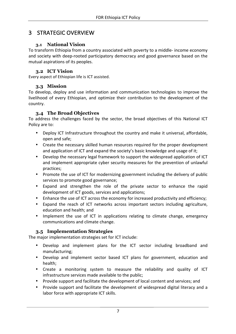# 3 STRATEGIC OVERVIEW

## **3.1 National Vision**

To transform Ethiopia from a country associated with poverty to a middle- income economy and society with deep-rooted participatory democracy and good governance based on the mutual aspirations of its peoples.

## **3.2 ICT Vision**

Every aspect of Ethiopian life is ICT assisted.

# **3.3 Mission**

To develop, deploy and use information and communication technologies to improve the livelihood of every Ethiopian, and optimize their contribution to the development of the country.

# **3.4 The Broad Objectives**

To address the challenges faced by the sector, the broad objectives of this National ICT Policy are to:

- Deploy ICT Infrastructure throughout the country and make it universal, affordable, open and safe;
- Create the necessary skilled human resources required for the proper development and application of ICT and expand the society's basic knowledge and usage of it;
- Develop the necessary legal framework to support the widespread application of ICT and implement appropriate cyber security measures for the prevention of unlawful practices;
- Promote the use of ICT for modernizing government including the delivery of public services to promote good governance:
- Expand and strengthen the role of the private sector to enhance the rapid development of ICT goods, services and applications;
- Enhance the use of ICT across the economy for increased productivity and efficiency;
- Expand the reach of ICT networks across important sectors including agriculture, education and health; and
- Implement the use of ICT in applications relating to climate change, emergency communications and climate change.

# **3.5 Implementation Strategies**

The major implementation strategies set for ICT include:

- Develop and implement plans for the ICT sector including broadband and manufacturing;
- Develop and implement sector based ICT plans for government, education and health;
- Create a monitoring system to measure the reliability and quality of ICT infrastructure services made available to the public;
- Provide support and facilitate the development of local content and services; and
- Provide support and facilitate the development of widespread digital literacy and a labor force with appropriate ICT skills.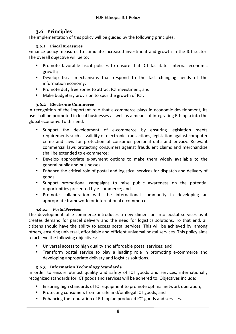# **3.6 Principles**

The implementation of this policy will be guided by the following principles:

#### **3.6.1 Fiscal Measures**

Enhance policy measures to stimulate increased investment and growth in the ICT sector. The overall objective will be to:

- Promote favorable fiscal policies to ensure that ICT facilitates internal economic growth;
- Develop fiscal mechanisms that respond to the fast changing needs of the information economy;
- Promote duty free zones to attract ICT investment; and
- Make budgetary provision to spur the growth of ICT.

## **3.6.2 Electronic Commerce**

In recognition of the important role that e-commerce plays in economic development, its use shall be promoted in local businesses as well as a means of integrating Ethiopia into the global economy. To this end:

- Support the development of e-commerce by ensuring legislation meets requirements such as validity of electronic transactions, legislation against computer crime and laws for protection of consumer personal data and privacy. Relevant commercial laws protecting consumers against fraudulent claims and merchandize shall be extended to e-commerce;
- Develop appropriate e-payment options to make them widely available to the general public and businesses;
- Enhance the critical role of postal and logistical services for dispatch and delivery of goods.
- Support promotional campaigns to raise public awareness on the potential opportunities presented by e-commerce; and
- Promote collaboration with the international community in developing an appropriate framework for international e-commerce.

#### *3.6.2.1 Postal Services*

The development of e-commerce introduces a new dimension into postal services as it creates demand for parcel delivery and the need for logistics solutions. To that end, all citizens should have the ability to access postal services. This will be achieved by, among others, ensuring universal, affordable and efficient universal postal services. This policy aims to achieve the following objectives:

- Universal access to high quality and affordable postal services; and
- Transform postal service to play a leading role in promoting e-commerce and developing appropriate delivery and logistics solutions.

# **3.6.3 Information Technology Standards**

In order to ensure utmost quality and safety of ICT goods and services, internationally recognized standards for ICT goods and services will be adhered to. Objectives include:

- Ensuring high standards of ICT equipment to promote optimal network operation;
- Protecting consumers from unsafe and/or illegal ICT goods; and
- Enhancing the reputation of Ethiopian produced ICT goods and services.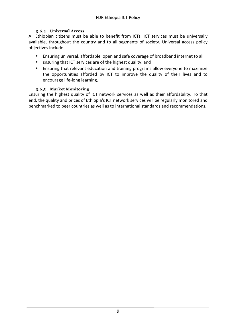#### **3.6.4 Universal Access**

All Ethiopian citizens must be able to benefit from ICTs. ICT services must be universally available, throughout the country and to all segments of society. Universal access policy objectives include:

- Ensuring universal, affordable, open and safe coverage of broadband internet to all;
- Ensuring that ICT services are of the highest quality; and
- Ensuring that relevant education and training programs allow everyone to maximize the opportunities afforded by ICT to improve the quality of their lives and to encourage life-long learning.

#### **3.6.5 Market Monitoring**

Ensuring the highest quality of ICT network services as well as their affordability. To that end, the quality and prices of Ethiopia's ICT network services will be regularly monitored and benchmarked to peer countries as well as to international standards and recommendations.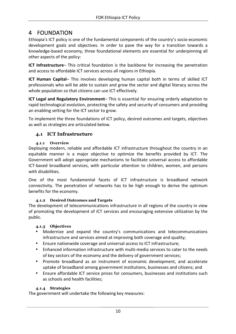# 4 FOUNDATION

Ethiopia's ICT policy is one of the fundamental components of the country's socio-economic development goals and objectives. In order to pave the way for a transition towards a knowledge-based economy, three foundational elements are essential for underpinning all other aspects of the policy:

**ICT Infrastructure**– This critical foundation is the backbone for increasing the penetration and access to affordable ICT services across all regions in Ethiopia.

**ICT Human Capital–** This involves developing human capital both in terms of skilled ICT professionals who will be able to sustain and grow the sector and digital literacy across the whole population so that citizens can use ICT effectively.

**ICT Legal and Regulatory Environment**– This is essential for ensuring orderly adaptation to rapid technological evolution, protecting the safety and security of consumers and providing an enabling setting for the ICT sector to grow.

To implement the three foundations of ICT policy, desired outcomes and targets, objectives as well as strategies are articulated below.

## **4.1 ICT Infrastructure**

#### **4.1.1 Overview**

Deploying modern, reliable and affordable ICT infrastructure throughout the country in an equitable manner is a major objective to optimize the benefits provided by ICT. The Government will adopt appropriate mechanisms to facilitate universal access to affordable ICT-based broadband services, with particular attention to children, women, and persons with disabilities.

One of the most fundamental facets of ICT infrastructure is broadband network connectivity. The penetration of networks has to be high enough to derive the optimum benefits for the economy.

#### **4.1.2 Desired Outcomes and Targets**

The development of telecommunications infrastructure in all regions of the country in view of promoting the development of ICT services and encouraging extensive utilization by the public.

#### **4.1.3 Objectives**

- Modernize and expand the country's communications and telecommunications infrastructure and services aimed at improving both coverage and quality;
- Ensure nationwide coverage and universal access to ICT infrastructure;
- Enhanced information infrastructure with multi-media services to cater to the needs of key sectors of the economy and the delivery of government services;
- Promote broadband as an instrument of economic development, and accelerate uptake of broadband among government institutions, businesses and citizens; and
- Ensure affordable ICT service prices for consumers, businesses and institutions such as schools and health facilities;

#### **4.1.4 Strategies**

The government will undertake the following key measures: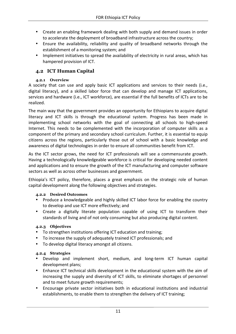- Create an enabling framework dealing with both supply and demand issues in order to accelerate the deployment of broadband infrastructure across the country;
- Ensure the availability, reliability and quality of broadband networks through the establishment of a monitoring system; and
- Implement initiatives to spread the availability of electricity in rural areas, which has hampered provision of ICT.

# **4.2 ICT Human Capital**

#### **4.2.1 Overview**

A society that can use and apply basic ICT applications and services to their needs (i.e., digital literacy), and a skilled labor force that can develop and manage ICT applications, services and hardware (i.e., ICT workforce), are essential if the full benefits of ICTs are to be realized. 

The main way that the government provides an opportunity for Ethiopians to acquire digital literacy and ICT skills is through the educational system. Progress has been made in implementing school networks with the goal of connecting all schools to high-speed Internet. This needs to be complemented with the incorporation of computer skills as a component of the primary and secondary school curriculum. Further, it is essential to equip citizens across the regions, particularly those out of school with a basic knowledge and awareness of digital technologies in order to ensure all communities benefit from ICT.

As the ICT sector grows, the need for ICT professionals will see a commensurate growth. Having a technologically knowledgeable workforce is critical for developing needed content and applications and to ensure the growth of the ICT manufacturing and computer software sectors as well as across other businesses and government.

Ethiopia's ICT policy, therefore, places a great emphasis on the strategic role of human capital development along the following objectives and strategies.

#### **4.2.2 Desired Outcomes**

- Produce a knowledgeable and highly skilled ICT labor force for enabling the country to develop and use ICT more effectively; and
- Create a digitally literate population capable of using ICT to transform their standards of living and of not only consuming but also producing digital content.

# **4.2.3 Objectives**

- To strengthen institutions offering ICT education and training;
- To increase the supply of adequately trained ICT professionals; and
- To develop digital literacy amongst all citizens.

# **4.2.4 Strategies**

- Develop and implement short, medium, and long-term ICT human capital development plans;
- Enhance ICT technical skills development in the educational system with the aim of increasing the supply and diversity of ICT skills, to eliminate shortages of personnel and to meet future growth requirements;
- Encourage private sector initiatives both in educational institutions and industrial establishments, to enable them to strengthen the delivery of ICT training;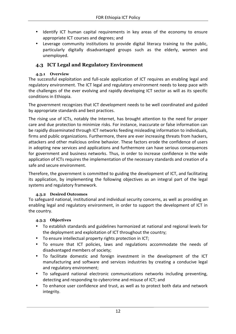- Identify ICT human capital requirements in key areas of the economy to ensure appropriate ICT courses and degrees; and
- Leverage community institutions to provide digital literacy training to the public, particularly digitally disadvantaged groups such as the elderly, women and unemployed.

# **4.3 ICT Legal and Regulatory Environment**

#### **4.3.1 Overview**

The successful exploitation and full-scale application of ICT requires an enabling legal and regulatory environment. The ICT legal and regulatory environment needs to keep pace with the challenges of the ever evolving and rapidly developing ICT sector as will as its specific conditions in Ethiopia.

The government recognizes that ICT development needs to be well coordinated and guided by appropriate standards and best practices.

The rising use of ICTs, notably the Internet, has brought attention to the need for proper care and due protection to minimize risks. For instance, inaccurate or false information can be rapidly disseminated through ICT networks feeding misleading information to individuals, firms and public organizations. Furthermore, there are ever increasing threats from hackers, attackers and other malicious online behavior. These factors erode the confidence of users in adopting new services and applications and furthermore can have serious consequences for government and business networks. Thus, in order to increase confidence in the wide application of ICTs requires the implementation of the necessary standards and creation of a safe and secure environment.

Therefore, the government is committed to guiding the development of ICT, and facilitating its application, by implementing the following objectives as an integral part of the legal systems and regulatory framework.

#### **4.3.2 Desired Outcomes**

To safeguard national, institutional and individual security concerns, as well as providing an enabling legal and regulatory environment, in order to support the development of ICT in the country.

#### **4.3.3 Objectives**

- To establish standards and guidelines harmonized at national and regional levels for the deployment and exploitation of ICT throughout the country;
- To ensure intellectual property rights protection in ICT;
- To ensure that ICT policies, laws and regulations accommodate the needs of disadvantaged members of society;
- To facilitate domestic and foreign investment in the development of the ICT manufacturing and software and services industries by creating a conducive legal and regulatory environment;
- To safeguard national electronic communications networks including preventing, detecting and responding to cybercrime and misuse of ICT; and
- To enhance user confidence and trust, as well as to protect both data and network integrity.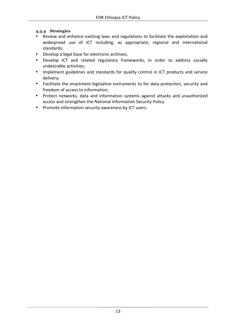#### **4.3.4 Strategies**

- Review and enhance existing laws and regulations to facilitate the exploitation and widespread use of ICT including, as appropriate, regional and international standards;
- Develop a legal base for electronic archives;
- Develop ICT and related regulatory frameworks, in order to address socially undesirable activities;
- Implement guidelines and standards for quality control in ICT products and service delivery;
- Facilitate the enactment legislative instruments to for data protection, security and freedom of access to information:
- Protect networks, data and information systems against attacks and unauthorized access and strengthen the National Information Security Policy.
- Promote information security awareness by ICT users.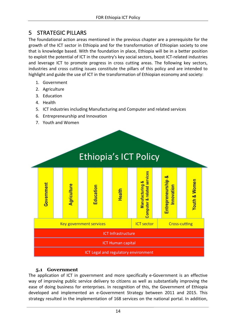# 5 STRATEGIC PILLARS

The foundational action areas mentioned in the previous chapter are a prerequisite for the growth of the ICT sector in Ethiopia and for the transformation of Ethiopian society to one that is knowledge based. With the foundation in place, Ethiopia will be in a better position to exploit the potential of ICT in the country's key social sectors, boost ICT-related industries and leverage ICT to promote progress in cross cutting areas. The following key sectors, industries and cross cutting issues constitute the pillars of this policy and are intended to highlight and guide the use of ICT in the transformation of Ethiopian economy and society:

- 1. Government
- 2. Agriculture
- 3. Education
- 4. Health
- 5. ICT industries including Manufacturing and Computer and related services
- 6. Entrepreneurship and Innovation
- 7. Youth and Women



# **5.1 Government**

The application of ICT in government and more specifically e-Government is an effective way of improving public service delivery to citizens as well as substantially improving the ease of doing business for enterprises. In recognition of this, the Government of Ethiopia developed and implemented an e-Government Strategy between 2011 and 2015. This strategy resulted in the implementation of 168 services on the national portal. In addition,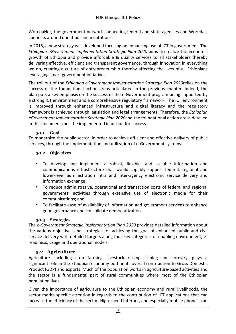WoredaNet, the government network connecting federal and state agencies and Woredas, connects around one thousand institutions.

In 2015, a new strategy was developed focusing on enhancing use of ICT in government. The *Ethiopian eGovernment Implementation Strategic Plan 2020* aims 'to realize the economic growth of Ethiopia and provide affordable & quality services to all stakeholders thereby delivering effective, efficient and transparent governance, through innovation in everything we do, creating a culture of entrepreneurship thereby affecting the lives of all Ethiopians leveraging smart government initiatives.'

The roll out of the *Ethiopian eGovernment Implementation Strategic Plan 2020*relies on the success of the foundational action areas articulated in the previous chapter. Indeed, the plan puts a key emphasis on the success of the e-Government program being supported by a strong ICT environment and a comprehensive regulatory framework. The ICT environment is improved through enhanced infrastructure and digital literacy and the regulatory framework is achieved through legislation and legal arrangements. Therefore, the *Ethiopian eGovernment Implementation Strategic Plan 2020and the foundational action areas detailed* in this document must be implemented in unison for success.

#### **5.1.1 Goal**

To modernize the public sector, in order to achieve efficient and effective delivery of public services, through the implementation and utilization of e-Government systems.

#### **5.1.2 Objectives**

- To develop and implement a robust, flexible, and scalable information and communications infrastructure that would capably support federal, regional and lower-level administration intra and inter-agency electronic service delivery and information exchange;
- To reduce administrative, operational and transaction costs of federal and regional governments' activities through extensive use of electronic media for their communications; and
- To facilitate ease of availability of information and government services to enhance good governance and consolidate democratization.

#### **5.1.3 Strategies**

The e-Government Strategic Implementation Plan 2020 provides detailed information about the various objectives and strategies for achieving the goal of enhanced public and civil service delivery with detailed targets along four key categories of enabling environment, ereadiness, usage and operational models.

# **5.2 Agriculture**

Agriculture—including crop farming, livestock raising, fishing and forestry—plays a significant role in the Ethiopian economy both in its overall contribution to Gross Domestic Product (GDP) and exports. Much of the population works in agriculture-based activities and the sector is a fundamental part of rural communities where most of the Ethiopian population lives.

Given the importance of agriculture to the Ethiopian economy and rural livelihoods, the sector merits specific attention in regards to the contribution of ICT applications that can increase the efficiency of the sector. High-speed Internet, and especially mobile phones, can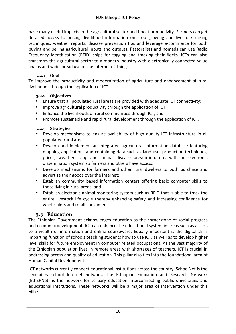have many useful impacts in the agricultural sector and boost productivity. Farmers can get detailed access to pricing, livelihood information on crop growing and livestock raising techniques, weather reports, disease prevention tips and leverage e-commerce for both buying and selling agricultural inputs and outputs. Pastoralists and nomads can use Radio Frequency Identification (RFID) chips for tagging and tracking their flocks. ICTs can also transform the agricultural sector to a modern industry with electronically connected value chains and widespread use of the Internet of Things.

#### **5.2.1 Goal**

To improve the productivity and modernization of agriculture and enhancement of rural livelihoods through the application of ICT.

#### **5.2.2 Objectives**

- Ensure that all populated rural areas are provided with adequate ICT connectivity;
- Improve agricultural productivity through the application of ICT;
- Enhance the livelihoods of rural communities through ICT; and
- Promote sustainable and rapid rural development through the application of ICT.

#### **5.2.3 Strategies**

- Develop mechanisms to ensure availability of high quality ICT infrastructure in all populated rural areas:
- Develop and implement an integrated agricultural information database featuring mapping applications and containing data such as land use, production techniques, prices, weather, crop and animal disease prevention, etc. with an electronic dissemination system so farmers and others have access;
- Develop mechanisms for farmers and other rural dwellers to both purchase and advertise their goods over the Internet;
- Establish community based information centers offering basic computer skills to those living in rural areas; and
- Establish electronic animal monitoring system such as RFID that is able to track the entire livestock life cycle thereby enhancing safety and increasing confidence for wholesalers and retail consumers.

# **5.3 Education**

The Ethiopian Government acknowledges education as the cornerstone of social progress and economic development. ICT can enhance the educational system in areas such as access to a wealth of information and online courseware. Equally important is the digital skills imparting function of schools teaching students how to use ICT, as well as to develop higher level skills for future employment in computer related occupations. As the vast majority of the Ethiopian population lives in remote areas with shortages of teachers, ICT is crucial in addressing access and quality of education. This pillar also ties into the foundational area of Human Capital Development. 

ICT networks currently connect educational institutions across the country. SchoolNet is the secondary school Internet network. The Ethiopian Education and Research Network (EthERNet) is the network for tertiary education interconnecting public universities and educational institutions. These networks will be a major area of intervention under this pillar.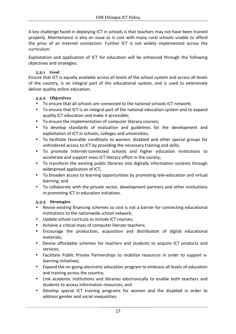A key challenge faced in deploying ICT in schools is that teachers may not have been trained properly. Maintenance is also an issue as is cost with many rural schools unable to afford the price of an Internet connection. Further ICT is not widely implemented across the curriculum. 

Exploitation and application of ICT for education will be enhanced through the following objectives and strategies.

#### **5.3.1 Goal**

Ensure that ICT is equally available across all levels of the school system and across all levels of the country, is an integral part of the educational system, and is used to extensively deliver quality online education.

## **5.3.2 Objectives**

- To ensure that all schools are connected to the national schools ICT network:
- To ensure that ICT is an integral part of the national education system and to expand quality ICT education and make it accessible;
- To ensure the implementation of computer literacy courses;
- To develop standards of evaluation and guidelines for the development and exploitation of ICT in schools, colleges and universities;
- To facilitate favorable conditions to women, disabled and other special groups for unhindered access to ICT by providing the necessary training and skills;
- To promote Internet-connected schools and higher education institutions to accelerate and support mass ICT literacy effort in the society;
- To transform the existing public libraries into digitally information systems through widespread application of ICT;
- To broaden access to learning opportunities by promoting tele-education and virtual learning; and
- To collaborate with the private sector, development partners and other institutions in promoting ICT in education initiatives.

# **5.3.3 Strategies**

- Revise existing financing schemes so cost is not a barrier for connecting educational institutions to the nationwide school network;
- Update school curricula to include ICT courses:
- Achieve a critical mass of computer literate teachers;
- Encourage the production, acquisition and distribution of digital educational materials;
- Devise affordable schemes for teachers and students to acquire ICT products and services;
- Facilitate Public Private Partnerships to mobilize resources in order to support elearning initiatives;
- Expand the on-going electronic education program to embrace all levels of education and training across the country;
- Link academic institutions and libraries electronically to enable both teachers and students to access information resources; and
- Develop special ICT training programs for women and the disabled in order to address gender and social inequalities.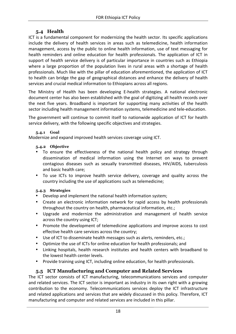# **5.4 Health**

ICT is a fundamental component for modernizing the health sector. Its specific applications include the delivery of health services in areas such as telemedicine, health information management, access by the public to online health information, use of text messaging for health reminders and online education for health professionals. The application of ICT in support of health service delivery is of particular importance in countries such as Ethiopia where a large proportion of the population lives in rural areas with a shortage of health professionals. Much like with the pillar of education aforementioned, the application of ICT to health can bridge the gap of geographical distances and enhance the delivery of health services and crucial medical information to Ethiopians across all regions.

The Ministry of Health has been developing E-health strategies. A national electronic document center has also been established with the goal of digitizing all health records over the next five years. Broadband is important for supporting many activities of the health sector including health management information systems, telemedicine and tele-education.

The government will continue to commit itself to nationwide application of ICT for health service delivery, with the following specific objectives and strategies.

#### **5.4.1 Goal**

Modernize and expand improved health services coverage using ICT.

#### **5.4.2 Objective**

- To ensure the effectiveness of the national health policy and strategy through dissemination of medical information using the Internet on ways to prevent contagious diseases such as sexually transmitted diseases, HIV/AIDS, tuberculosis and basic health care;
- To use ICTs to improve health service delivery, coverage and quality across the country including the use of applications such as telemedicine;

#### **5.4.3 Strategies**

- Develop and implement the national health information system;
- Create an electronic information network for rapid access by health professionals throughout the country on health, pharmaceutical information, etc.;
- Upgrade and modernize the administration and management of health service across the country using ICT;
- Promote the development of telemedicine applications and improve access to cost effective health care services across the country;
- Use of ICT to disseminate health messages such as alerts, reminders, etc.;
- Optimize the use of ICTs for online education for health professionals; and
- Linking hospitals, health research institutes and health centers with broadband to the lowest health center levels.
- Provide training using ICT, including online education, for health professionals.

# **5.5 ICT Manufacturing and Computer and Related Services**

The ICT sector consists of ICT manufacturing, telecommunications services and computer and related services. The ICT sector is important as industry in its own right with a growing contribution to the economy. Telecommunications services deploy the ICT infrastructure and related applications and services that are widely discussed in this policy. Therefore, ICT manufacturing and computer and related services are included in this pillar.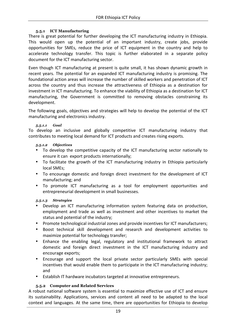#### **5.5.1 ICT Manufacturing**

There is great potential for further developing the ICT manufacturing industry in Ethiopia. This would open up the potential of an important industry, create jobs, provide opportunities for SMEs, reduce the price of ICT equipment in the country and help to accelerate technology transfer. This topic is further elaborated in a separate policy document for the ICT manufacturing sector.

Even though ICT manufacturing at present is quite small, it has shown dynamic growth in recent years. The potential for an expanded ICT manufacturing industry is promising. The foundational action areas will increase the number of skilled workers and penetration of ICT across the country and thus increase the attractiveness of Ethiopia as a destination for investment in ICT manufacturing. To enhance the viability of Ethiopia as a destination for ICT manufacturing, the Government is committed to removing obstacles constraining its development. 

The following goals, objectives and strategies will help to develop the potential of the ICT manufacturing and electronics industry.

#### *5.5.1.1 Goal*

To develop an inclusive and globally competitive ICT manufacturing industry that contributes to meeting local demand for ICT products and creates rising exports.

#### *5.5.1.2 Objectives*

- To develop the competitive capacity of the ICT manufacturing sector nationally to ensure it can export products internationally;
- To facilitate the growth of the ICT manufacturing industry in Ethiopia particularly local SMEs:
- To encourage domestic and foreign direct investment for the development of ICT manufacturing; and
- To promote ICT manufacturing as a tool for employment opportunities and entrepreneurial development in small businesses.

#### *5.5.1.3 Strategies*

- Develop an ICT manufacturing information system featuring data on production, employment and trade as well as investment and other incentives to market the status and potential of the industry;
- Promote technological industrial zones and provide incentives for ICT manufacturers;
- Boost technical skill development and research and development activities to maximize potential for technology transfer;
- Enhance the enabling legal, regulatory and institutional framework to attract domestic and foreign direct investment in the ICT manufacturing industry and encourage exports;
- Encourage and support the local private sector particularly SMEs with special incentives that would enable them to participate in the ICT manufacturing industry; and
- Establish IT hardware incubators targeted at innovative entrepreneurs.

#### **5.5.2 Computer and Related Services**

A robust national software system is essential to maximize effective use of ICT and ensure its sustainability. Applications, services and content all need to be adapted to the local context and languages. At the same time, there are opportunities for Ethiopia to develop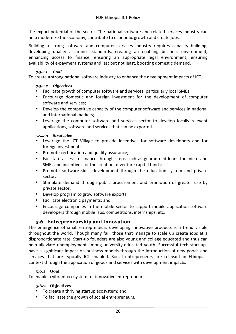the export potential of the sector. The national software and related services industry can help modernize the economy, contribute to economic growth and create jobs.

Building a strong software and computer services industry requires capacity building, developing quality assurance standards, creating an enabling business environment, enhancing access to finance, ensuring an appropriate legal environment, ensuring availability of e-payment systems and last but not least, boosting domestic demand.

#### *5.5.2.1 Goal*

To create a strong national software industry to enhance the development impacts of ICT.

#### *5.5.2.2 Objectives*

- Facilitate growth of computer software and services, particularly local SMEs;
- Encourage domestic and foreign investment for the development of computer software and services:
- Develop the competitive capacity of the computer software and services in national and international markets;
- Leverage the computer software and services sector to develop locally relevant applications, software and services that can be exported.

#### *5.5.2.3 Strategies*

- Leverage the ICT Village to provide incentives for software developers and for foreign investment:
- Promote certification and quality assurance;
- Facilitate access to finance through steps such as guaranteed loans for micro and SMEs and incentives for the creation of venture capital funds;
- Promote software skills development through the education system and private sector;
- Stimulate demand through public procurement and promotion of greater use by private sector;
- Develop program to grow software exports;
- Facilitate electronic payments; and
- Encourage companies in the mobile sector to support mobile application software developers through mobile labs, competitions, internships, etc.

#### **5.6 Entrepreneurship and Innovation**

The emergence of small entrepreneurs developing innovative products is a trend visible throughout the world. Though many fail, those that manage to scale up create jobs at a disproportionate rate. Start-up founders are also young and college educated and thus can help alleviate unemployment among university-educated youth. Successful tech start-ups have a significant impact on business models through the introduction of new goods and services that are typically ICT enabled. Social entrepreneurs are relevant in Ethiopia's context through the application of goods and services with development impacts.

#### **5.6.1 Goal**

To enable a vibrant ecosystem for innovative entrepreneurs.

#### **5.6.2 Objectives**

- To create a thriving startup ecosystem; and
- To facilitate the growth of social entrepreneurs.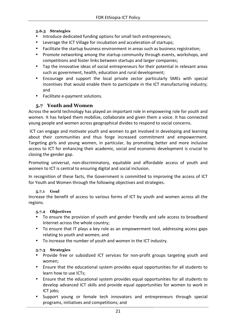#### **5.6.3 Strategies**

- Introduce dedicated funding options for small tech entrepreneurs;
- Leverage the ICT Village for incubation and acceleration of startups;
- Facilitate the startup business environment in areas such as business registration;
- Promote networking among the startup community through events, workshops, and competitions and foster links between startups and larger companies;
- Tap the innovative ideas of social entrepreneurs for their potential in relevant areas such as government, health, education and rural development;
- Encourage and support the local private sector particularly SMEs with special incentives that would enable them to participate in the ICT manufacturing industry; and
- Facilitate e-payment solutions.

## **5.7 Youth and Women**

Across the world technology has played an important role in empowering role for youth and women. It has helped them mobilize, collaborate and given them a voice. It has connected young people and women across geographical divides to respond to social concerns.

ICT can engage and motivate youth and women to get involved in developing and learning about their communities and thus forge increased commitment and empowerment. Targeting girls and young women, in particular, by promoting better and more inclusive access to ICT for enhancing their academic, social and economic development is crucial to closing the gender gap.

Promoting universal, non-discriminatory, equitable and affordable access of youth and women to ICT is central to ensuring digital and social inclusion.

In recognition of these facts, the Government is committed to improving the access of ICT for Youth and Women through the following objectives and strategies.

#### **5.7.1 Goal**

Increase the benefit of access to various forms of ICT by youth and women across all the regions.

#### **5.7.2 Objectives**

- To ensure the provision of youth and gender friendly and safe access to broadband Internet across the whole country;
- To ensure that IT plays a key role as an empowerment tool, addressing access gaps relating to youth and women; and
- To increase the number of youth and women in the ICT industry.

#### **5.7.3 Strategies**

- Provide free or subsidized ICT services for non-profit groups targeting youth and women;
- Ensure that the educational system provides equal opportunities for all students to learn how to use ICTs;
- Ensure that the educational system provides equal opportunities for all students to develop advanced ICT skills and provide equal opportunities for women to work in ICT jobs;
- Support young or female tech innovators and entrepreneurs through special programs, initiatives and competitions; and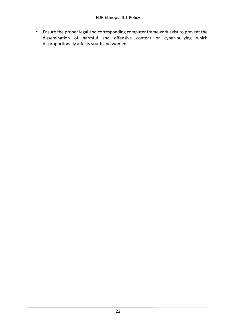• Ensure the proper legal and corresponding computer framework exist to prevent the dissemination of harmful and offensive content or cyber-bullying which disproportionally affects youth and women.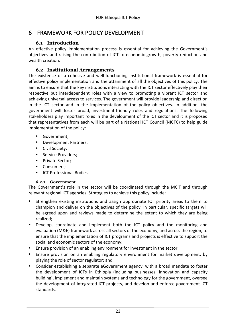# 6 FRAMEWORK FOR POLICY DEVELOPMENT

# **6.1 Introduction**

An effective policy implementation process is essential for achieving the Government's objectives and raising the contribution of ICT to economic growth, poverty reduction and wealth creation.

# **6.2 Institutional Arrangements**

The existence of a cohesive and well-functioning institutional framework is essential for effective policy implementation and the attainment of all the objectives of this policy. The aim is to ensure that the key institutions interacting with the ICT sector effectively play their respective but interdependent roles with a view to promoting a vibrant ICT sector and achieving universal access to services. The government will provide leadership and direction in the ICT sector and in the implementation of the policy objectives. In addition, the government will foster broad, investment-friendly rules and regulations. The following stakeholders play important roles in the development of the ICT sector and it is proposed that representatives from each will be part of a National ICT Council (NICTC) to help guide implementation of the policy:

- Government;
- Development Partners;
- Civil Society;
- Service Providers;
- Private Sector;
- Consumers;
- **ICT Professional Bodies.**

# **6.2.1 Government**

The Government's role in the sector will be coordinated through the MCIT and through relevant regional ICT agencies. Strategies to achieve this policy include:

- Strengthen existing institutions and assign appropriate ICT priority areas to them to champion and deliver on the objectives of the policy. In particular, specific targets will be agreed upon and reviews made to determine the extent to which they are being realized;
- Develop, coordinate and implement both the ICT policy and the monitoring and evaluation (M&E) framework across all sectors of the economy, and across the region, to ensure that the implementation of ICT programs and projects is effective to support the social and economic sectors of the economy;
- Ensure provision of an enabling environment for investment in the sector;
- Ensure provision on an enabling regulatory environment for market development, by playing the role of sector regulator; and
- Consider establishing a separate eGovernment agency, with a broad mandate to foster the development of ICTs in Ethiopia (including businesses, innovation and capacity building), implement and maintain systems and technology for the government, oversee the development of integrated ICT projects, and develop and enforce government ICT standards.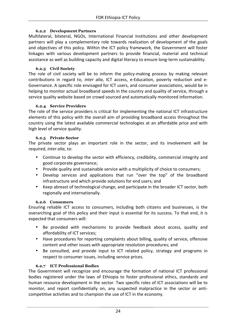#### **6.2.2 Development Partners**

Multilateral, bilateral, NGOs, International Financial Institutions and other development partners will play a complementary role towards realization of development of the goals and objectives of this policy. Within the ICT policy framework, the Government will foster linkages with various development partners to provide financial, material and technical assistance as well as building capacity and digital literacy to ensure long-term sustainability.

#### **6.2.3 Civil Society**

The role of civil society will be to inform the policy-making process by making relevant contributions in regard to, *inter alia*, ICT access, e-Education, poverty reduction and e-Governance. A specific role envisaged for ICT users, and consumer associations, would be in helping to monitor actual broadband speeds in the country and quality of service, through a service quality website based on crowd sourced and automatically monitored information.

#### **6.2.4 Service Providers**

The role of the service providers is critical for implementing the national ICT infrastructure elements of this policy with the overall aim of providing broadband access throughout the country using the latest available commercial technologies at an affordable price and with high level of service quality.

#### **6.2.5 Private Sector**

The private sector plays an important role in the sector, and its involvement will be required, *inter alia*, to:

- Continue to develop the sector with efficiency, credibility, commercial integrity and good corporate governance;
- Provide quality and sustainable service with a multiplicity of choice to consumers;
- Develop services and applications that run "over the top" of the broadband infrastructure and which provide solutions for end users; and
- Keep abreast of technological change, and participate in the broader ICT sector, both regionally and internationally.

#### **6.2.6 Consumers**

Ensuring reliable ICT access to consumers, including both citizens and businesses, is the overarching goal of this policy and their input is essential for its success. To that end, it is expected that consumers will:

- Be provided with mechanisms to provide feedback about access, quality and affordability of ICT services;
- Have procedures for reporting complaints about billing, quality of service, offensive content and other issues with appropriate resolution procedures; and
- Be consulted, and provide input to ICT related policy, strategy and programs in respect to consumer issues, including service prices.

#### **6.2.7 ICT Professional Bodies**

The Government will recognize and encourage the formation of national ICT professional bodies registered under the laws of Ethiopia to foster professional ethics, standards and human resource development in the sector. Two specific roles of ICT associations will be to monitor, and report confidentially on, any suspected malpractice in the sector or anticompetitive activities and to champion the use of ICT in the economy.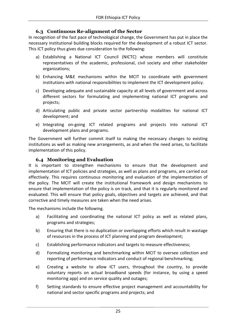# **6.3 Continuous Re-alignment of the Sector**

In recognition of the fast pace of technological change, the Government has put in place the necessary institutional building blocks required for the development of a robust ICT sector. This ICT policy thus gives due consideration to the following:

- a) Establishing a National ICT Council (NICTC) whose members will constitute representatives of the academic, professional, civil society and other stakeholder organizations;
- b) Enhancing M&E mechanisms within the MCIT to coordinate with government institutions with national responsibilities to implement the ICT development policy;
- c) Developing adequate and sustainable capacity at all levels of government and across different sectors for formulating and implementing national ICT programs and projects;
- d) Articulating public and private sector partnership modalities for national ICT development; and
- e) Integrating on-going ICT related programs and projects into national ICT development plans and programs.

The Government will further commit itself to making the necessary changes to existing institutions as well as making new arrangements, as and when the need arises, to facilitate implementation of this policy.

# **6.4 Monitoring and Evaluation**

It is important to strengthen mechanisms to ensure that the development and implementation of ICT policies and strategies, as well as plans and programs, are carried out effectively. This requires continuous monitoring and evaluation of the implementation of the policy. The MCIT will create the institutional framework and design mechanisms to ensure that implementation of the policy is on track, and that it is regularly monitored and evaluated. This will ensure that policy goals, objectives and targets are achieved, and that corrective and timely measures are taken when the need arises.

The mechanisms include the following.

- a) Facilitating and coordinating the national ICT policy as well as related plans, programs and strategies;
- b) Ensuring that there is no duplication or overlapping efforts which result in wastage of resources in the process of ICT planning and program development;
- c) Establishing performance indicators and targets to measure effectiveness;
- d) Formalizing monitoring and benchmarking within MCIT to oversee collection and reporting of performance indicators and conduct of regional benchmarking;
- e) Creating a website to allow ICT users, throughout the country, to provide voluntary reports on actual broadband speeds (for instance, by using a speed monitoring app) and on service quality and outages;
- f) Setting standards to ensure effective project management and accountability for national and sector specific programs and projects; and